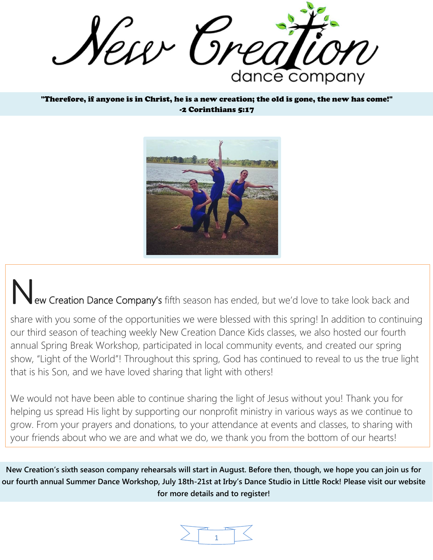New Crea dance company

"Therefore, if anyone is in Christ, he is a new creation; the old is gone, the new has come!" -2 Corinthians 5:17



New Creation Dance Company's fifth season has ended, but we'd love to take look back and

share with you some of the opportunities we were blessed with this spring! In addition to continuing our third season of teaching weekly New Creation Dance Kids classes, we also hosted our fourth annual Spring Break Workshop, participated in local community events, and created our spring show, "Light of the World"! Throughout this spring, God has continued to reveal to us the true light that is his Son, and we have loved sharing that light with others!

We would not have been able to continue sharing the light of Jesus without you! Thank you for helping us spread His light by supporting our nonprofit ministry in various ways as we continue to grow. From your prayers and donations, to your attendance at events and classes, to sharing with your friends about who we are and what we do, we thank you from the bottom of our hearts!

**New Creation's sixth season company rehearsals will start in August. Before then, though, we hope you can join us for our fourth annual Summer Dance Workshop, July 18th-21st at Irby's Dance Studio in Little Rock! Please visit our website for more details and to register!**

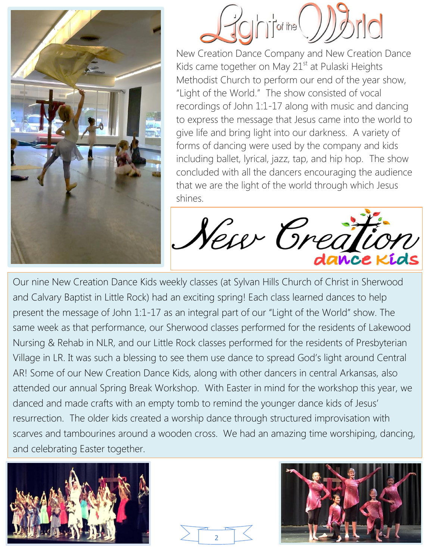



New Creation Dance Company and New Creation Dance Kids came together on May  $21<sup>st</sup>$  at Pulaski Heights Methodist Church to perform our end of the year show, "Light of the World." The show consisted of vocal recordings of John 1:1-17 along with music and dancing to express the message that Jesus came into the world to give life and bring light into our darkness. A variety of forms of dancing were used by the company and kids including ballet, lyrical, jazz, tap, and hip hop. The show concluded with all the dancers encouraging the audience that we are the light of the world through which Jesus shines.

New Great

Our nine New Creation Dance Kids weekly classes (at Sylvan Hills Church of Christ in Sherwood and Calvary Baptist in Little Rock) had an exciting spring! Each class learned dances to help present the message of John 1:1-17 as an integral part of our "Light of the World" show. The same week as that performance, our Sherwood classes performed for the residents of Lakewood Nursing & Rehab in NLR, and our Little Rock classes performed for the residents of Presbyterian Village in LR. It was such a blessing to see them use dance to spread God's light around Central AR! Some of our New Creation Dance Kids, along with other dancers in central Arkansas, also attended our annual Spring Break Workshop. With Easter in mind for the workshop this year, we danced and made crafts with an empty tomb to remind the younger dance kids of Jesus' resurrection. The older kids created a worship dance through structured improvisation with scarves and tambourines around a wooden cross. We had an amazing time worshiping, dancing, and celebrating Easter together.





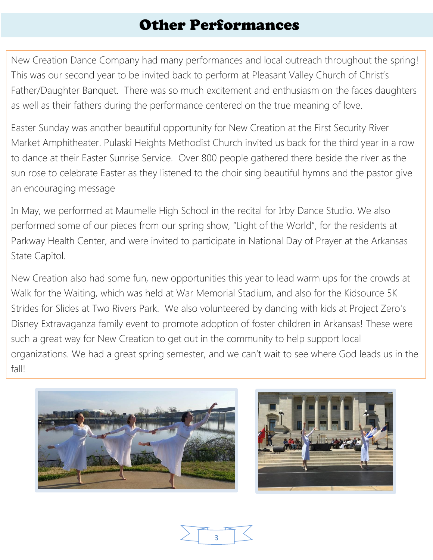## Other Performances

New Creation Dance Company had many performances and local outreach throughout the spring! This was our second year to be invited back to perform at Pleasant Valley Church of Christ's Father/Daughter Banquet. There was so much excitement and enthusiasm on the faces daughters as well as their fathers during the performance centered on the true meaning of love.

Easter Sunday was another beautiful opportunity for New Creation at the First Security River Market Amphitheater. Pulaski Heights Methodist Church invited us back for the third year in a row to dance at their Easter Sunrise Service. Over 800 people gathered there beside the river as the sun rose to celebrate Easter as they listened to the choir sing beautiful hymns and the pastor give an encouraging message

In May, we performed at Maumelle High School in the recital for Irby Dance Studio. We also performed some of our pieces from our spring show, "Light of the World", for the residents at Parkway Health Center, and were invited to participate in National Day of Prayer at the Arkansas State Capitol.

New Creation also had some fun, new opportunities this year to lead warm ups for the crowds at Walk for the Waiting, which was held at War Memorial Stadium, and also for the Kidsource 5K Strides for Slides at Two Rivers Park. We also volunteered by dancing with kids at Project Zero's Disney Extravaganza family event to promote adoption of foster children in Arkansas! These were such a great way for New Creation to get out in the community to help support local organizations. We had a great spring semester, and we can't wait to see where God leads us in the fall!